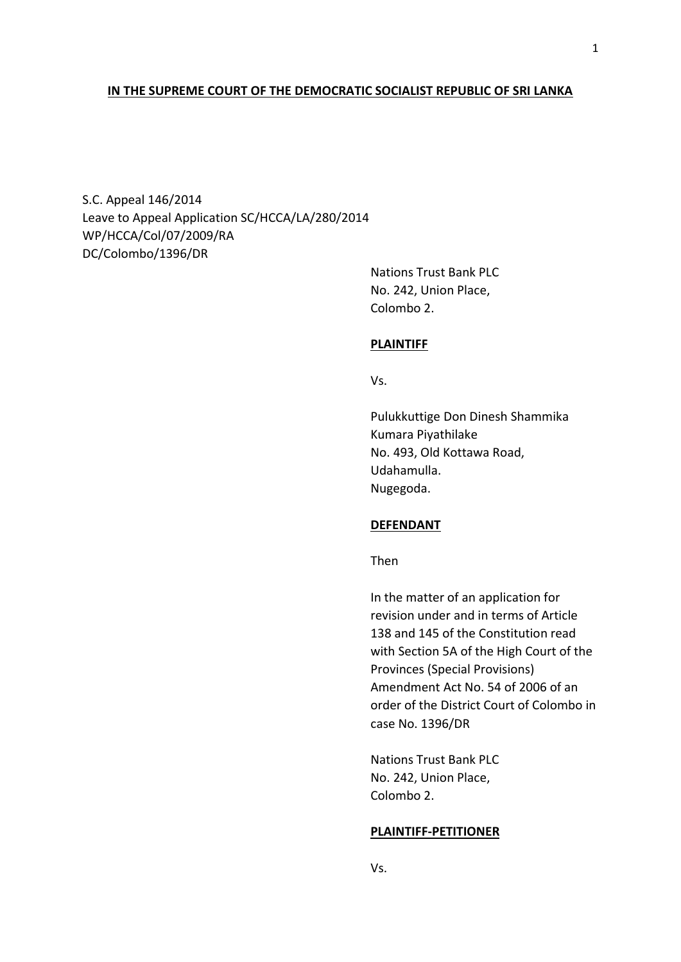## **IN THE SUPREME COURT OF THE DEMOCRATIC SOCIALIST REPUBLIC OF SRI LANKA**

S.C. Appeal 146/2014 Leave to Appeal Application SC/HCCA/LA/280/2014 WP/HCCA/Col/07/2009/RA DC/Colombo/1396/DR

> Nations Trust Bank PLC No. 242, Union Place, Colombo 2.

### **PLAINTIFF**

Vs.

Pulukkuttige Don Dinesh Shammika Kumara Piyathilake No. 493, Old Kottawa Road, Udahamulla. Nugegoda.

### **DEFENDANT**

Then

In the matter of an application for revision under and in terms of Article 138 and 145 of the Constitution read with Section 5A of the High Court of the Provinces (Special Provisions) Amendment Act No. 54 of 2006 of an order of the District Court of Colombo in case No. 1396/DR

Nations Trust Bank PLC No. 242, Union Place, Colombo 2.

#### **PLAINTIFF-PETITIONER**

1

Vs.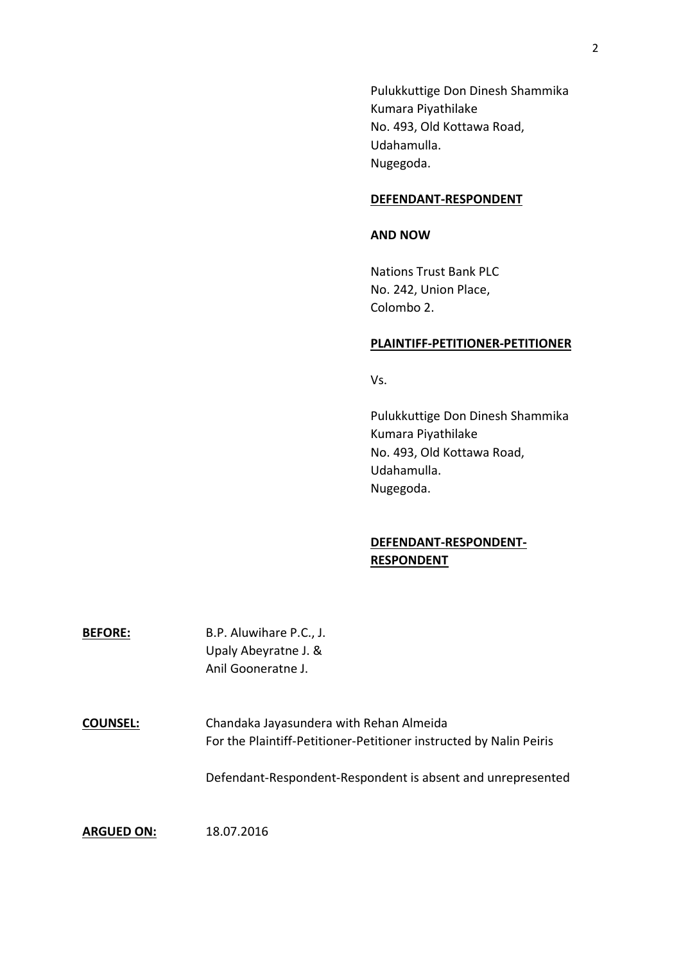Pulukkuttige Don Dinesh Shammika Kumara Piyathilake No. 493, Old Kottawa Road, Udahamulla. Nugegoda.

## **DEFENDANT-RESPONDENT**

## **AND NOW**

Nations Trust Bank PLC No. 242, Union Place, Colombo 2.

### **PLAINTIFF-PETITIONER-PETITIONER**

Vs.

Pulukkuttige Don Dinesh Shammika Kumara Piyathilake No. 493, Old Kottawa Road, Udahamulla. Nugegoda.

# **DEFENDANT-RESPONDENT-RESPONDENT**

| <b>BEFORE:</b> | B.P. Aluwihare P.C., J. |
|----------------|-------------------------|
|                | Upaly Abeyratne J. &    |
|                | Anil Gooneratne J.      |

**COUNSEL:** Chandaka Jayasundera with Rehan Almeida For the Plaintiff-Petitioner-Petitioner instructed by Nalin Peiris

Defendant-Respondent-Respondent is absent and unrepresented

**ARGUED ON:** 18.07.2016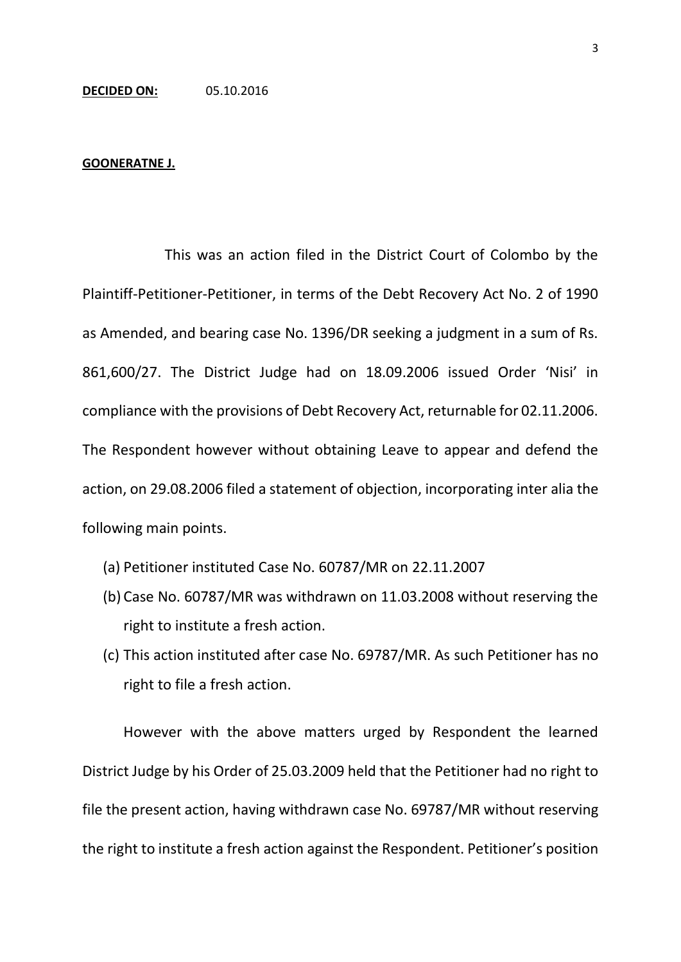#### **GOONERATNE J.**

This was an action filed in the District Court of Colombo by the Plaintiff-Petitioner-Petitioner, in terms of the Debt Recovery Act No. 2 of 1990 as Amended, and bearing case No. 1396/DR seeking a judgment in a sum of Rs. 861,600/27. The District Judge had on 18.09.2006 issued Order 'Nisi' in compliance with the provisions of Debt Recovery Act, returnable for 02.11.2006. The Respondent however without obtaining Leave to appear and defend the action, on 29.08.2006 filed a statement of objection, incorporating inter alia the following main points.

- (a) Petitioner instituted Case No. 60787/MR on 22.11.2007
- (b) Case No. 60787/MR was withdrawn on 11.03.2008 without reserving the right to institute a fresh action.
- (c) This action instituted after case No. 69787/MR. As such Petitioner has no right to file a fresh action.

However with the above matters urged by Respondent the learned District Judge by his Order of 25.03.2009 held that the Petitioner had no right to file the present action, having withdrawn case No. 69787/MR without reserving the right to institute a fresh action against the Respondent. Petitioner's position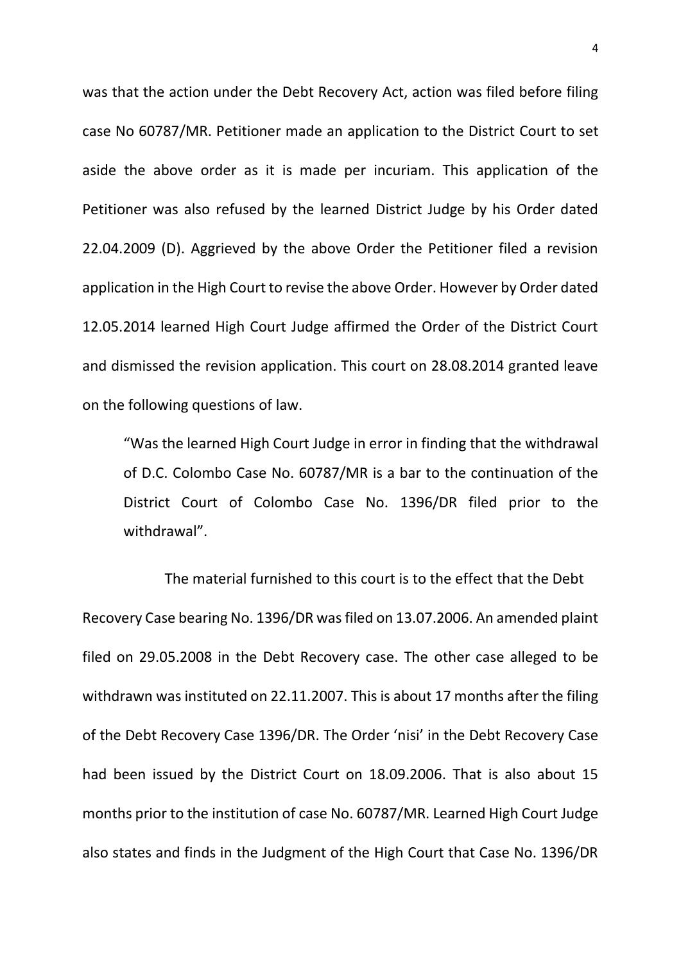was that the action under the Debt Recovery Act, action was filed before filing case No 60787/MR. Petitioner made an application to the District Court to set aside the above order as it is made per incuriam. This application of the Petitioner was also refused by the learned District Judge by his Order dated 22.04.2009 (D). Aggrieved by the above Order the Petitioner filed a revision application in the High Court to revise the above Order. However by Order dated 12.05.2014 learned High Court Judge affirmed the Order of the District Court and dismissed the revision application. This court on 28.08.2014 granted leave on the following questions of law.

"Was the learned High Court Judge in error in finding that the withdrawal of D.C. Colombo Case No. 60787/MR is a bar to the continuation of the District Court of Colombo Case No. 1396/DR filed prior to the withdrawal".

The material furnished to this court is to the effect that the Debt Recovery Case bearing No. 1396/DR was filed on 13.07.2006. An amended plaint filed on 29.05.2008 in the Debt Recovery case. The other case alleged to be withdrawn was instituted on 22.11.2007. This is about 17 months after the filing of the Debt Recovery Case 1396/DR. The Order 'nisi' in the Debt Recovery Case had been issued by the District Court on 18.09.2006. That is also about 15 months prior to the institution of case No. 60787/MR. Learned High Court Judge also states and finds in the Judgment of the High Court that Case No. 1396/DR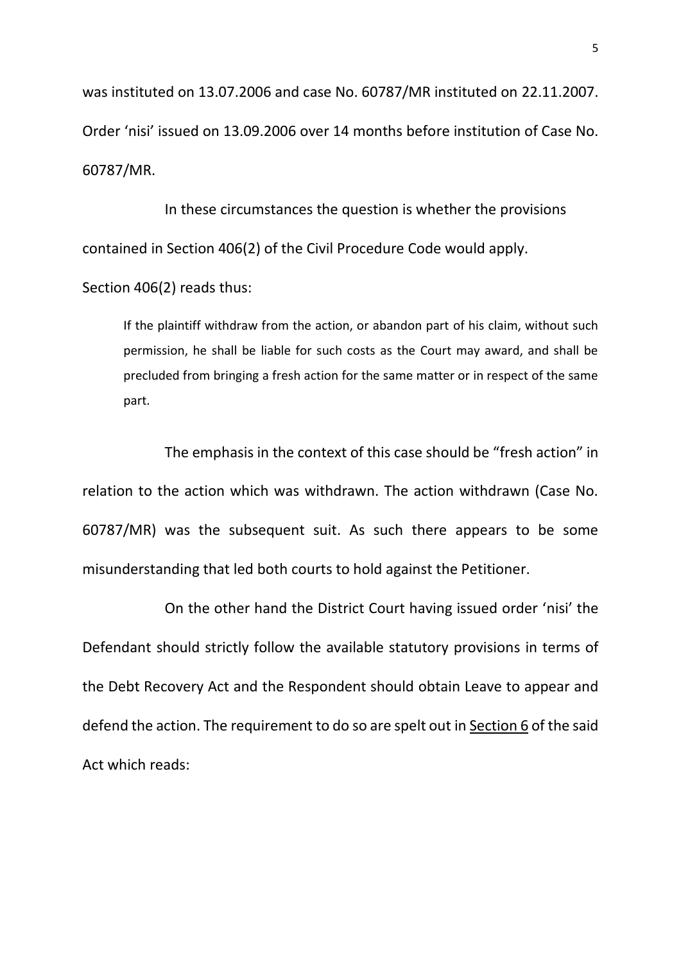was instituted on 13.07.2006 and case No. 60787/MR instituted on 22.11.2007. Order 'nisi' issued on 13.09.2006 over 14 months before institution of Case No. 60787/MR.

In these circumstances the question is whether the provisions contained in Section 406(2) of the Civil Procedure Code would apply.

Section 406(2) reads thus:

If the plaintiff withdraw from the action, or abandon part of his claim, without such permission, he shall be liable for such costs as the Court may award, and shall be precluded from bringing a fresh action for the same matter or in respect of the same part.

The emphasis in the context of this case should be "fresh action" in relation to the action which was withdrawn. The action withdrawn (Case No. 60787/MR) was the subsequent suit. As such there appears to be some misunderstanding that led both courts to hold against the Petitioner.

On the other hand the District Court having issued order 'nisi' the Defendant should strictly follow the available statutory provisions in terms of the Debt Recovery Act and the Respondent should obtain Leave to appear and defend the action. The requirement to do so are spelt out in Section 6 of the said Act which reads: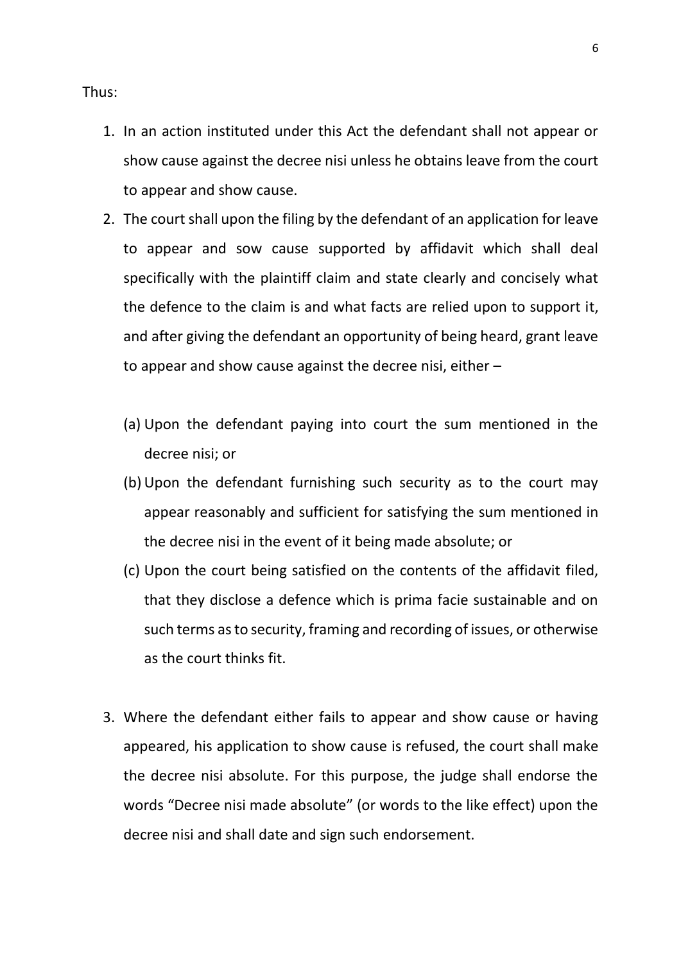Thus:

- 1. In an action instituted under this Act the defendant shall not appear or show cause against the decree nisi unless he obtains leave from the court to appear and show cause.
- 2. The court shall upon the filing by the defendant of an application for leave to appear and sow cause supported by affidavit which shall deal specifically with the plaintiff claim and state clearly and concisely what the defence to the claim is and what facts are relied upon to support it, and after giving the defendant an opportunity of being heard, grant leave to appear and show cause against the decree nisi, either –
	- (a) Upon the defendant paying into court the sum mentioned in the decree nisi; or
	- (b)Upon the defendant furnishing such security as to the court may appear reasonably and sufficient for satisfying the sum mentioned in the decree nisi in the event of it being made absolute; or
	- (c) Upon the court being satisfied on the contents of the affidavit filed, that they disclose a defence which is prima facie sustainable and on such terms as to security, framing and recording of issues, or otherwise as the court thinks fit.
- 3. Where the defendant either fails to appear and show cause or having appeared, his application to show cause is refused, the court shall make the decree nisi absolute. For this purpose, the judge shall endorse the words "Decree nisi made absolute" (or words to the like effect) upon the decree nisi and shall date and sign such endorsement.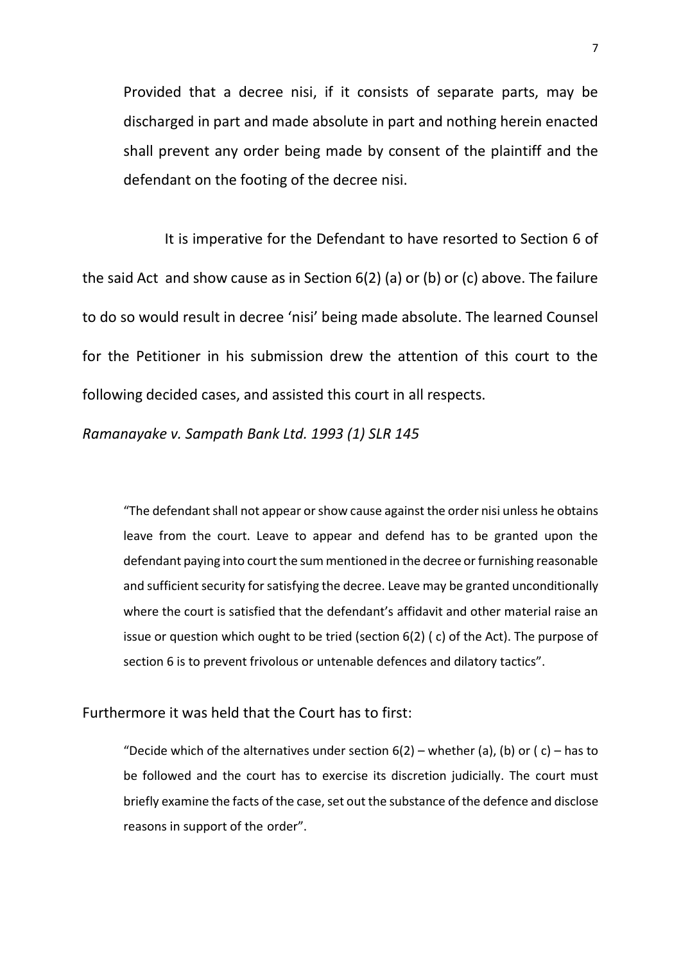Provided that a decree nisi, if it consists of separate parts, may be discharged in part and made absolute in part and nothing herein enacted shall prevent any order being made by consent of the plaintiff and the defendant on the footing of the decree nisi.

It is imperative for the Defendant to have resorted to Section 6 of the said Act and show cause as in Section 6(2) (a) or (b) or (c) above. The failure to do so would result in decree 'nisi' being made absolute. The learned Counsel for the Petitioner in his submission drew the attention of this court to the following decided cases, and assisted this court in all respects.

*Ramanayake v. Sampath Bank Ltd. 1993 (1) SLR 145*

"The defendant shall not appear or show cause against the order nisi unless he obtains leave from the court. Leave to appear and defend has to be granted upon the defendant paying into court the sum mentioned in the decree or furnishing reasonable and sufficient security for satisfying the decree. Leave may be granted unconditionally where the court is satisfied that the defendant's affidavit and other material raise an issue or question which ought to be tried (section 6(2) ( c) of the Act). The purpose of section 6 is to prevent frivolous or untenable defences and dilatory tactics".

# Furthermore it was held that the Court has to first:

"Decide which of the alternatives under section  $6(2)$  – whether (a), (b) or (c) – has to be followed and the court has to exercise its discretion judicially. The court must briefly examine the facts of the case, set out the substance of the defence and disclose reasons in support of the order".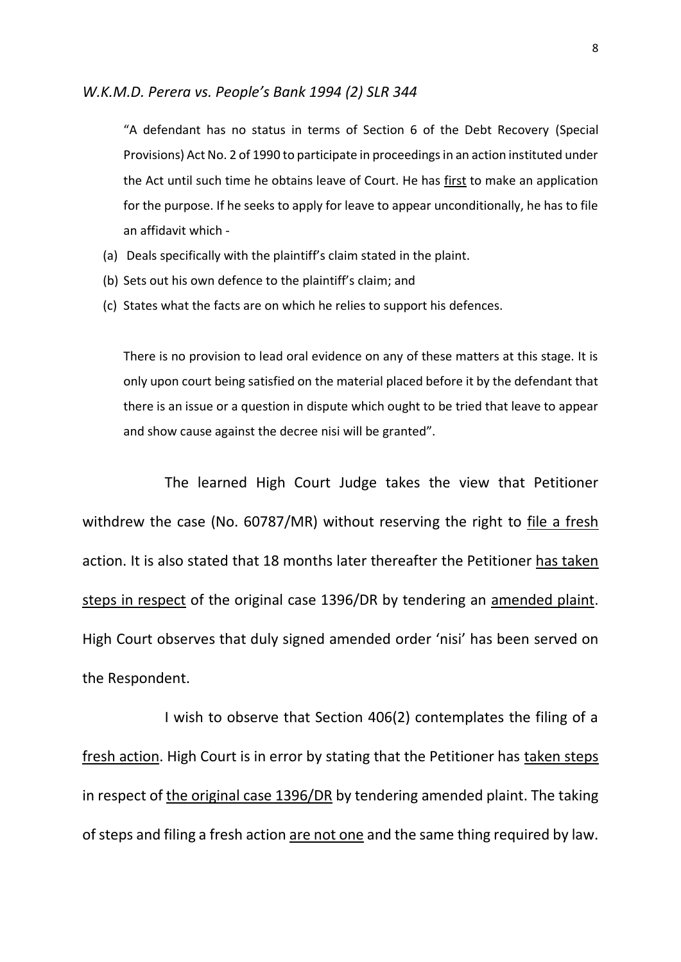## *W.K.M.D. Perera vs. People's Bank 1994 (2) SLR 344*

"A defendant has no status in terms of Section 6 of the Debt Recovery (Special Provisions) Act No. 2 of 1990 to participate in proceedings in an action instituted under the Act until such time he obtains leave of Court. He has first to make an application for the purpose. If he seeks to apply for leave to appear unconditionally, he has to file an affidavit which -

- (a) Deals specifically with the plaintiff's claim stated in the plaint.
- (b) Sets out his own defence to the plaintiff's claim; and
- (c) States what the facts are on which he relies to support his defences.

There is no provision to lead oral evidence on any of these matters at this stage. It is only upon court being satisfied on the material placed before it by the defendant that there is an issue or a question in dispute which ought to be tried that leave to appear and show cause against the decree nisi will be granted".

The learned High Court Judge takes the view that Petitioner withdrew the case (No. 60787/MR) without reserving the right to file a fresh action. It is also stated that 18 months later thereafter the Petitioner has taken steps in respect of the original case 1396/DR by tendering an amended plaint. High Court observes that duly signed amended order 'nisi' has been served on the Respondent.

I wish to observe that Section 406(2) contemplates the filing of a fresh action. High Court is in error by stating that the Petitioner has taken steps in respect of the original case 1396/DR by tendering amended plaint. The taking of steps and filing a fresh action are not one and the same thing required by law.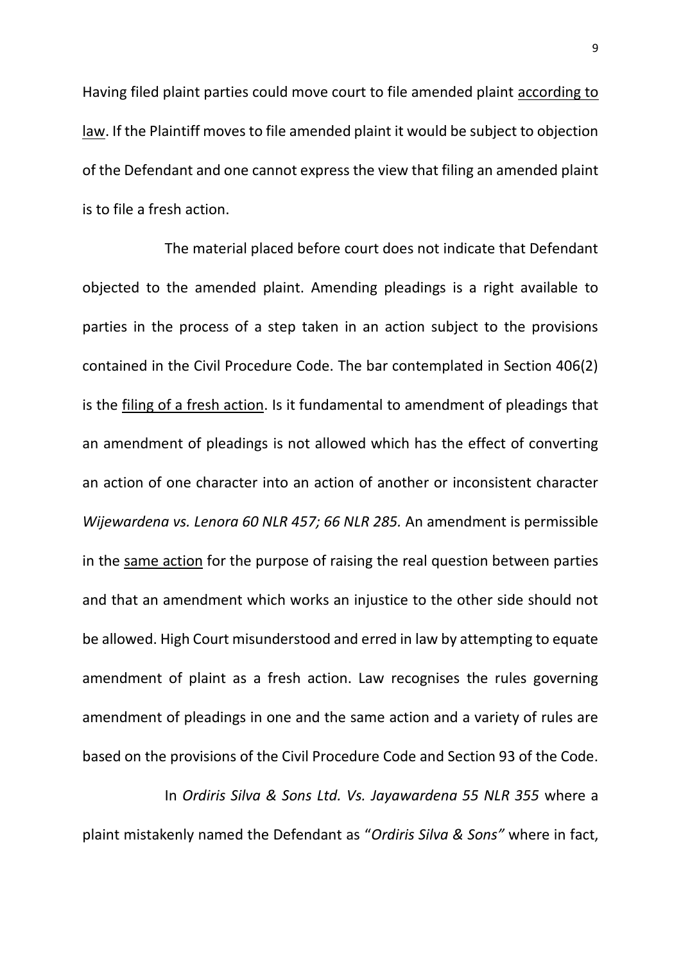Having filed plaint parties could move court to file amended plaint according to law. If the Plaintiff moves to file amended plaint it would be subject to objection of the Defendant and one cannot express the view that filing an amended plaint is to file a fresh action.

The material placed before court does not indicate that Defendant objected to the amended plaint. Amending pleadings is a right available to parties in the process of a step taken in an action subject to the provisions contained in the Civil Procedure Code. The bar contemplated in Section 406(2) is the filing of a fresh action. Is it fundamental to amendment of pleadings that an amendment of pleadings is not allowed which has the effect of converting an action of one character into an action of another or inconsistent character *Wijewardena vs. Lenora 60 NLR 457; 66 NLR 285.* An amendment is permissible in the same action for the purpose of raising the real question between parties and that an amendment which works an injustice to the other side should not be allowed. High Court misunderstood and erred in law by attempting to equate amendment of plaint as a fresh action. Law recognises the rules governing amendment of pleadings in one and the same action and a variety of rules are based on the provisions of the Civil Procedure Code and Section 93 of the Code.

In *Ordiris Silva & Sons Ltd. Vs. Jayawardena 55 NLR 355* where a plaint mistakenly named the Defendant as "*Ordiris Silva & Sons"* where in fact,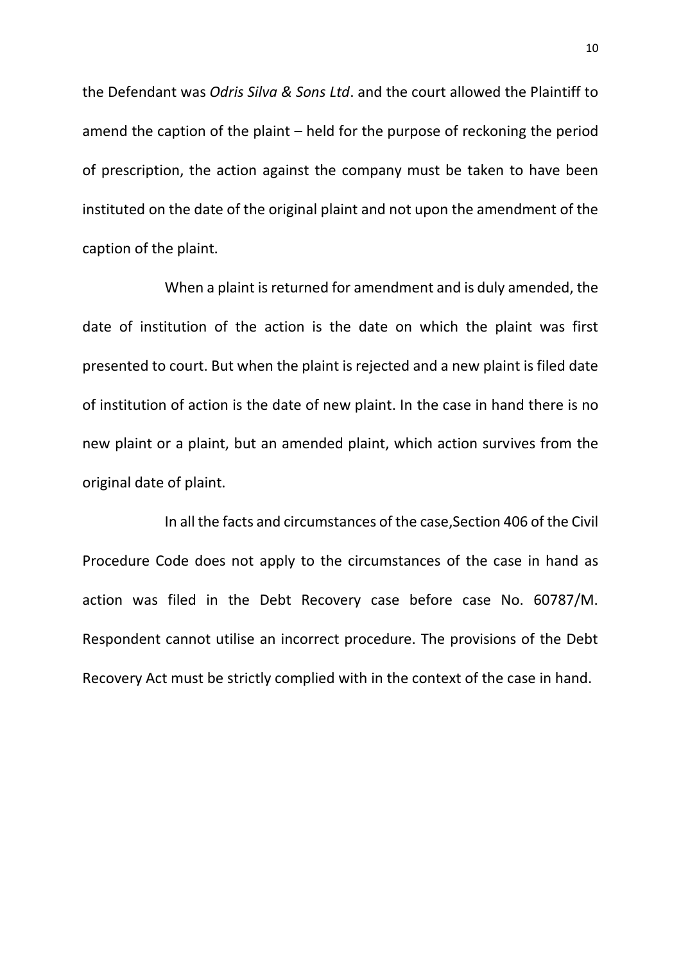the Defendant was *Odris Silva & Sons Ltd*. and the court allowed the Plaintiff to amend the caption of the plaint – held for the purpose of reckoning the period of prescription, the action against the company must be taken to have been instituted on the date of the original plaint and not upon the amendment of the caption of the plaint.

When a plaint is returned for amendment and is duly amended, the date of institution of the action is the date on which the plaint was first presented to court. But when the plaint is rejected and a new plaint is filed date of institution of action is the date of new plaint. In the case in hand there is no new plaint or a plaint, but an amended plaint, which action survives from the original date of plaint.

In all the facts and circumstances of the case,Section 406 of the Civil Procedure Code does not apply to the circumstances of the case in hand as action was filed in the Debt Recovery case before case No. 60787/M. Respondent cannot utilise an incorrect procedure. The provisions of the Debt Recovery Act must be strictly complied with in the context of the case in hand.